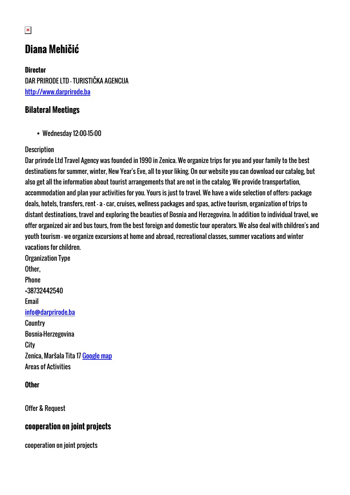# **Diana Mehičić**

**Director** DAR PRIRODE LTD - TURISTIČKA AGENCIJA <http://www.darprirode.ba>

### **Bilateral Meetings**

Wednesday 12:00-15:00

#### **Description**

Dar prirode Ltd Travel Agency was founded in 1990 in Zenica. We organize trips for you and your family to the best destinations for summer, winter, New Year's Eve, all to your liking. On our website you can download our catalog, but also get all the information about tourist arrangements that are not in the catalog. We provide transportation, accommodation and plan your activities for you. Yours is just to travel. We have a wide selection of offers: package deals, hotels, transfers, rent - a - car, cruises, wellness packages and spas, active tourism, organization of trips to distant destinations, travel and exploring the beauties of Bosnia and Herzegovina. In addition to individual travel, we offer organized air and bus tours, from the best foreign and domestic tour operators. We also deal with children's and youth tourism - we organize excursions at home and abroad, recreational classes, summer vacations and winter vacations for children.

Organization Type Other, Phone +38732442540 Email [info@darprirode.ba](mailto:info@darprirode.ba) **Country** Bosnia-Herzegovina **City** Zenica, Maršala Tita 17 [Google map](http://womenentrepreneurs3.talkb2b.net/home/map?city=Zenica&address=Maršala Tita 17) Areas of Activities

#### **Other**

Offer & Request

#### **cooperation on joint projects**

cooperation on joint projects

 $\pmb{\times}$